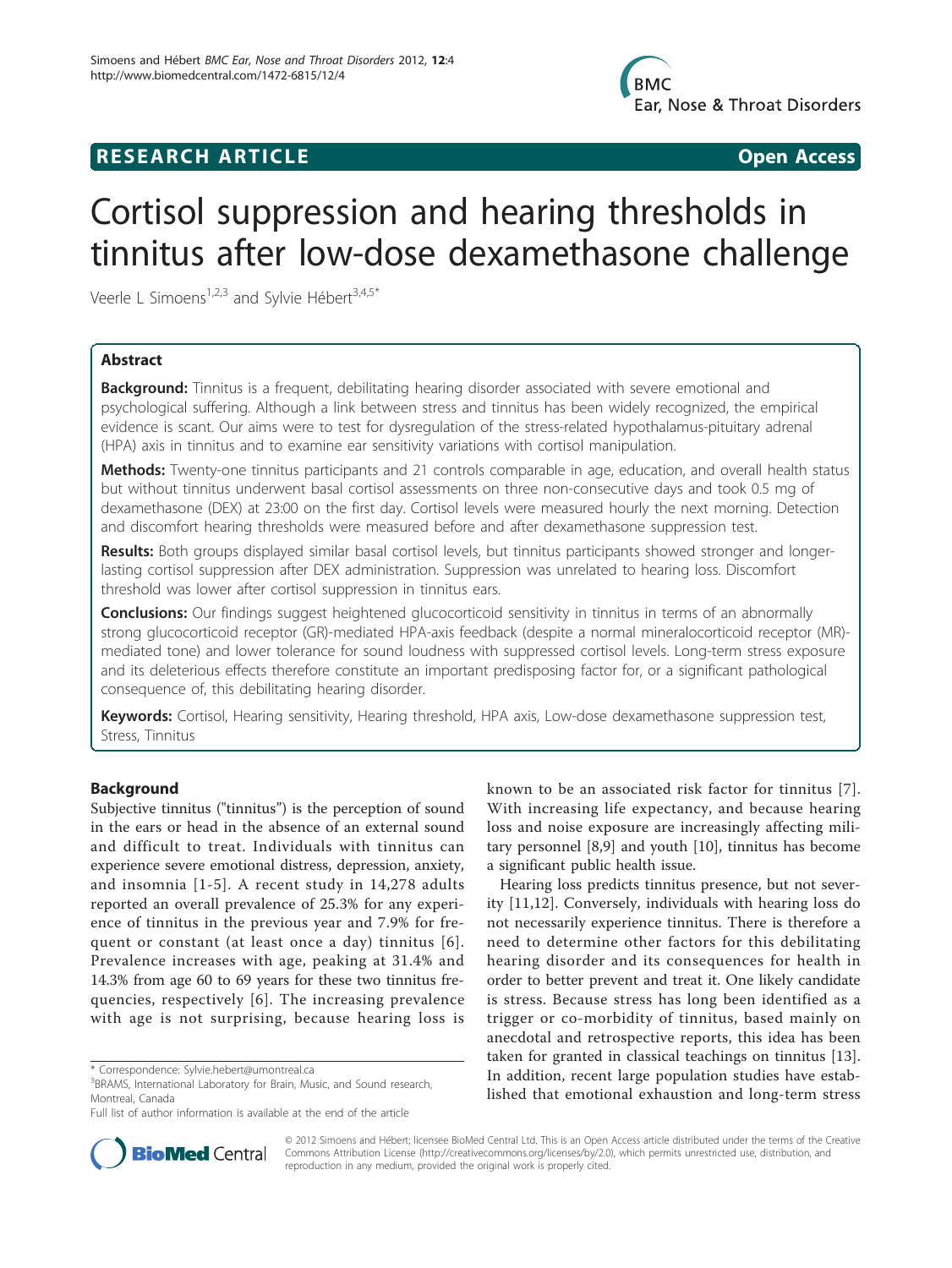## **RESEARCH ARTICLE Example 20 and 20 and 20 and 20 and 20 and 20 and 20 and 20 and 20 and 20 and 20 and 20 and 20 and 20 and 20 and 20 and 20 and 20 and 20 and 20 and 20 and 20 and 20 and 20 and 20 and 20 and 20 and 20 an**

# Cortisol suppression and hearing thresholds in tinnitus after low-dose dexamethasone challenge

Veerle L Simoens<sup>1,2,3</sup> and Sylvie Hébert<sup>3,4,5\*</sup>

### Abstract

**Background:** Tinnitus is a frequent, debilitating hearing disorder associated with severe emotional and psychological suffering. Although a link between stress and tinnitus has been widely recognized, the empirical evidence is scant. Our aims were to test for dysregulation of the stress-related hypothalamus-pituitary adrenal (HPA) axis in tinnitus and to examine ear sensitivity variations with cortisol manipulation.

Methods: Twenty-one tinnitus participants and 21 controls comparable in age, education, and overall health status but without tinnitus underwent basal cortisol assessments on three non-consecutive days and took 0.5 mg of dexamethasone (DEX) at 23:00 on the first day. Cortisol levels were measured hourly the next morning. Detection and discomfort hearing thresholds were measured before and after dexamethasone suppression test.

Results: Both groups displayed similar basal cortisol levels, but tinnitus participants showed stronger and longerlasting cortisol suppression after DEX administration. Suppression was unrelated to hearing loss. Discomfort threshold was lower after cortisol suppression in tinnitus ears.

**Conclusions:** Our findings suggest heightened glucocorticoid sensitivity in tinnitus in terms of an abnormally strong glucocorticoid receptor (GR)-mediated HPA-axis feedback (despite a normal mineralocorticoid receptor (MR) mediated tone) and lower tolerance for sound loudness with suppressed cortisol levels. Long-term stress exposure and its deleterious effects therefore constitute an important predisposing factor for, or a significant pathological consequence of, this debilitating hearing disorder.

Keywords: Cortisol, Hearing sensitivity, Hearing threshold, HPA axis, Low-dose dexamethasone suppression test, Stress, Tinnitus

### Background

Subjective tinnitus ("tinnitus") is the perception of sound in the ears or head in the absence of an external sound and difficult to treat. Individuals with tinnitus can experience severe emotional distress, depression, anxiety, and insomnia [\[1-5](#page-8-0)]. A recent study in 14,278 adults reported an overall prevalence of 25.3% for any experience of tinnitus in the previous year and 7.9% for frequent or constant (at least once a day) tinnitus [[6\]](#page-8-0). Prevalence increases with age, peaking at 31.4% and 14.3% from age 60 to 69 years for these two tinnitus frequencies, respectively [[6](#page-8-0)]. The increasing prevalence with age is not surprising, because hearing loss is

known to be an associated risk factor for tinnitus [[7](#page-8-0)]. With increasing life expectancy, and because hearing loss and noise exposure are increasingly affecting military personnel [\[8,9](#page-8-0)] and youth [[10\]](#page-8-0), tinnitus has become a significant public health issue.

Hearing loss predicts tinnitus presence, but not severity [[11,12](#page-8-0)]. Conversely, individuals with hearing loss do not necessarily experience tinnitus. There is therefore a need to determine other factors for this debilitating hearing disorder and its consequences for health in order to better prevent and treat it. One likely candidate is stress. Because stress has long been identified as a trigger or co-morbidity of tinnitus, based mainly on anecdotal and retrospective reports, this idea has been taken for granted in classical teachings on tinnitus [\[13](#page-8-0)]. In addition, recent large population studies have established that emotional exhaustion and long-term stress



© 2012 Simoens and Hébert; licensee BioMed Central Ltd. This is an Open Access article distributed under the terms of the Creative Commons Attribution License [\(http://creativecommons.org/licenses/by/2.0](http://creativecommons.org/licenses/by/2.0)), which permits unrestricted use, distribution, and reproduction in any medium, provided the original work is properly cited.

<sup>\*</sup> Correspondence: [Sylvie.hebert@umontreal.ca](mailto:Sylvie.hebert@umontreal.ca)

<sup>&</sup>lt;sup>3</sup>BRAMS, International Laboratory for Brain, Music, and Sound research, Montreal, Canada

Full list of author information is available at the end of the article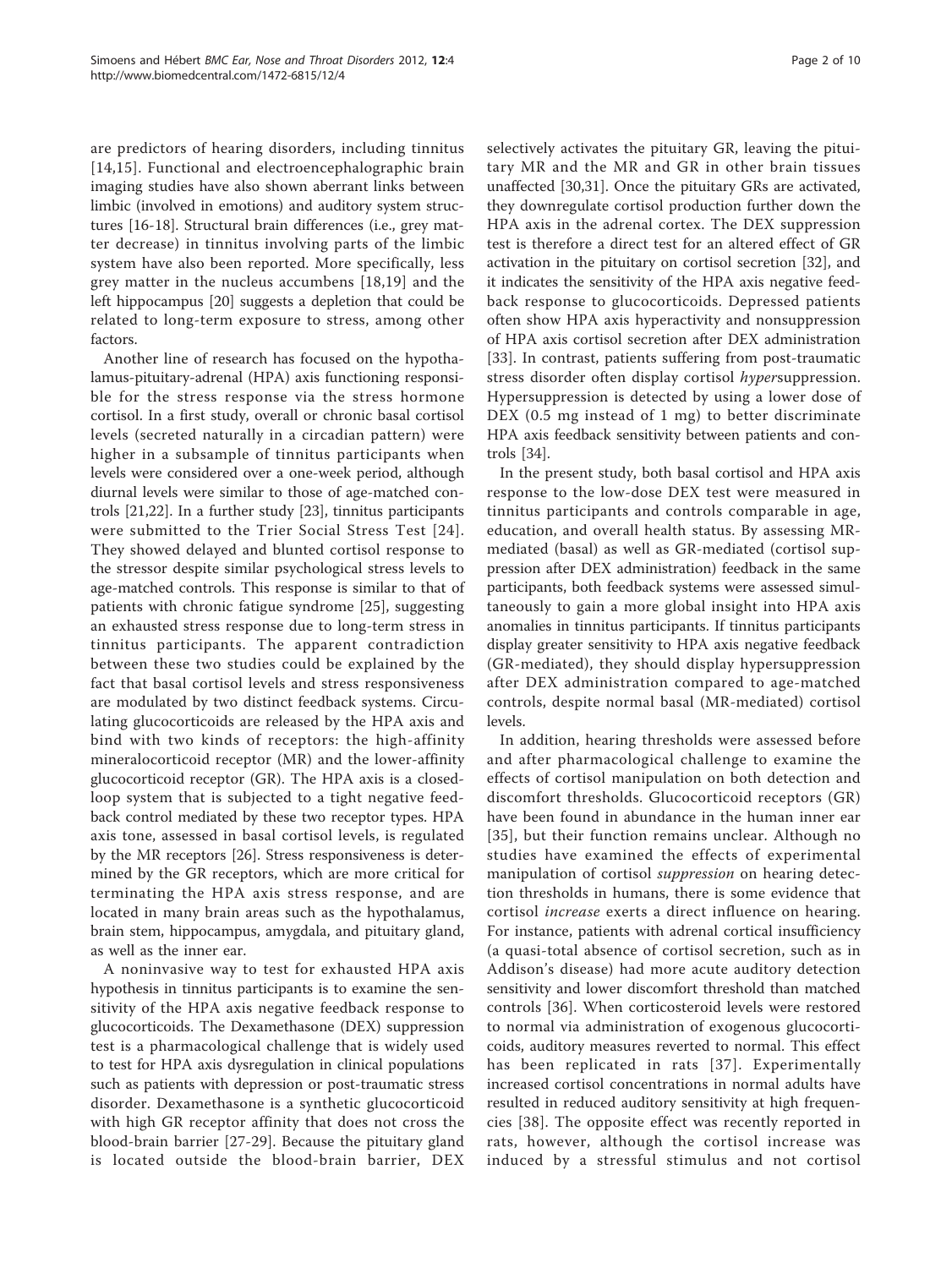are predictors of hearing disorders, including tinnitus [[14](#page-8-0),[15](#page-8-0)]. Functional and electroencephalographic brain imaging studies have also shown aberrant links between limbic (involved in emotions) and auditory system structures [[16](#page-8-0)-[18\]](#page-8-0). Structural brain differences (i.e., grey matter decrease) in tinnitus involving parts of the limbic system have also been reported. More specifically, less grey matter in the nucleus accumbens [[18,19](#page-8-0)] and the left hippocampus [[20\]](#page-8-0) suggests a depletion that could be related to long-term exposure to stress, among other factors.

Another line of research has focused on the hypothalamus-pituitary-adrenal (HPA) axis functioning responsible for the stress response via the stress hormone cortisol. In a first study, overall or chronic basal cortisol levels (secreted naturally in a circadian pattern) were higher in a subsample of tinnitus participants when levels were considered over a one-week period, although diurnal levels were similar to those of age-matched controls [\[21,22\]](#page-8-0). In a further study [\[23](#page-8-0)], tinnitus participants were submitted to the Trier Social Stress Test [[24\]](#page-8-0). They showed delayed and blunted cortisol response to the stressor despite similar psychological stress levels to age-matched controls. This response is similar to that of patients with chronic fatigue syndrome [\[25](#page-8-0)], suggesting an exhausted stress response due to long-term stress in tinnitus participants. The apparent contradiction between these two studies could be explained by the fact that basal cortisol levels and stress responsiveness are modulated by two distinct feedback systems. Circulating glucocorticoids are released by the HPA axis and bind with two kinds of receptors: the high-affinity mineralocorticoid receptor (MR) and the lower-affinity glucocorticoid receptor (GR). The HPA axis is a closedloop system that is subjected to a tight negative feedback control mediated by these two receptor types. HPA axis tone, assessed in basal cortisol levels, is regulated by the MR receptors [[26\]](#page-8-0). Stress responsiveness is determined by the GR receptors, which are more critical for terminating the HPA axis stress response, and are located in many brain areas such as the hypothalamus, brain stem, hippocampus, amygdala, and pituitary gland, as well as the inner ear.

A noninvasive way to test for exhausted HPA axis hypothesis in tinnitus participants is to examine the sensitivity of the HPA axis negative feedback response to glucocorticoids. The Dexamethasone (DEX) suppression test is a pharmacological challenge that is widely used to test for HPA axis dysregulation in clinical populations such as patients with depression or post-traumatic stress disorder. Dexamethasone is a synthetic glucocorticoid with high GR receptor affinity that does not cross the blood-brain barrier [[27-29](#page-8-0)]. Because the pituitary gland is located outside the blood-brain barrier, DEX selectively activates the pituitary GR, leaving the pituitary MR and the MR and GR in other brain tissues unaffected [[30,31\]](#page-8-0). Once the pituitary GRs are activated, they downregulate cortisol production further down the HPA axis in the adrenal cortex. The DEX suppression test is therefore a direct test for an altered effect of GR activation in the pituitary on cortisol secretion [[32\]](#page-8-0), and it indicates the sensitivity of the HPA axis negative feedback response to glucocorticoids. Depressed patients often show HPA axis hyperactivity and nonsuppression of HPA axis cortisol secretion after DEX administration [[33\]](#page-8-0). In contrast, patients suffering from post-traumatic stress disorder often display cortisol hypersuppression. Hypersuppression is detected by using a lower dose of DEX (0.5 mg instead of 1 mg) to better discriminate HPA axis feedback sensitivity between patients and controls [\[34](#page-8-0)].

In the present study, both basal cortisol and HPA axis response to the low-dose DEX test were measured in tinnitus participants and controls comparable in age, education, and overall health status. By assessing MRmediated (basal) as well as GR-mediated (cortisol suppression after DEX administration) feedback in the same participants, both feedback systems were assessed simultaneously to gain a more global insight into HPA axis anomalies in tinnitus participants. If tinnitus participants display greater sensitivity to HPA axis negative feedback (GR-mediated), they should display hypersuppression after DEX administration compared to age-matched controls, despite normal basal (MR-mediated) cortisol levels.

In addition, hearing thresholds were assessed before and after pharmacological challenge to examine the effects of cortisol manipulation on both detection and discomfort thresholds. Glucocorticoid receptors (GR) have been found in abundance in the human inner ear [[35](#page-8-0)], but their function remains unclear. Although no studies have examined the effects of experimental manipulation of cortisol suppression on hearing detection thresholds in humans, there is some evidence that cortisol increase exerts a direct influence on hearing. For instance, patients with adrenal cortical insufficiency (a quasi-total absence of cortisol secretion, such as in Addison's disease) had more acute auditory detection sensitivity and lower discomfort threshold than matched controls [[36\]](#page-8-0). When corticosteroid levels were restored to normal via administration of exogenous glucocorticoids, auditory measures reverted to normal. This effect has been replicated in rats [[37](#page-8-0)]. Experimentally increased cortisol concentrations in normal adults have resulted in reduced auditory sensitivity at high frequencies [[38\]](#page-8-0). The opposite effect was recently reported in rats, however, although the cortisol increase was induced by a stressful stimulus and not cortisol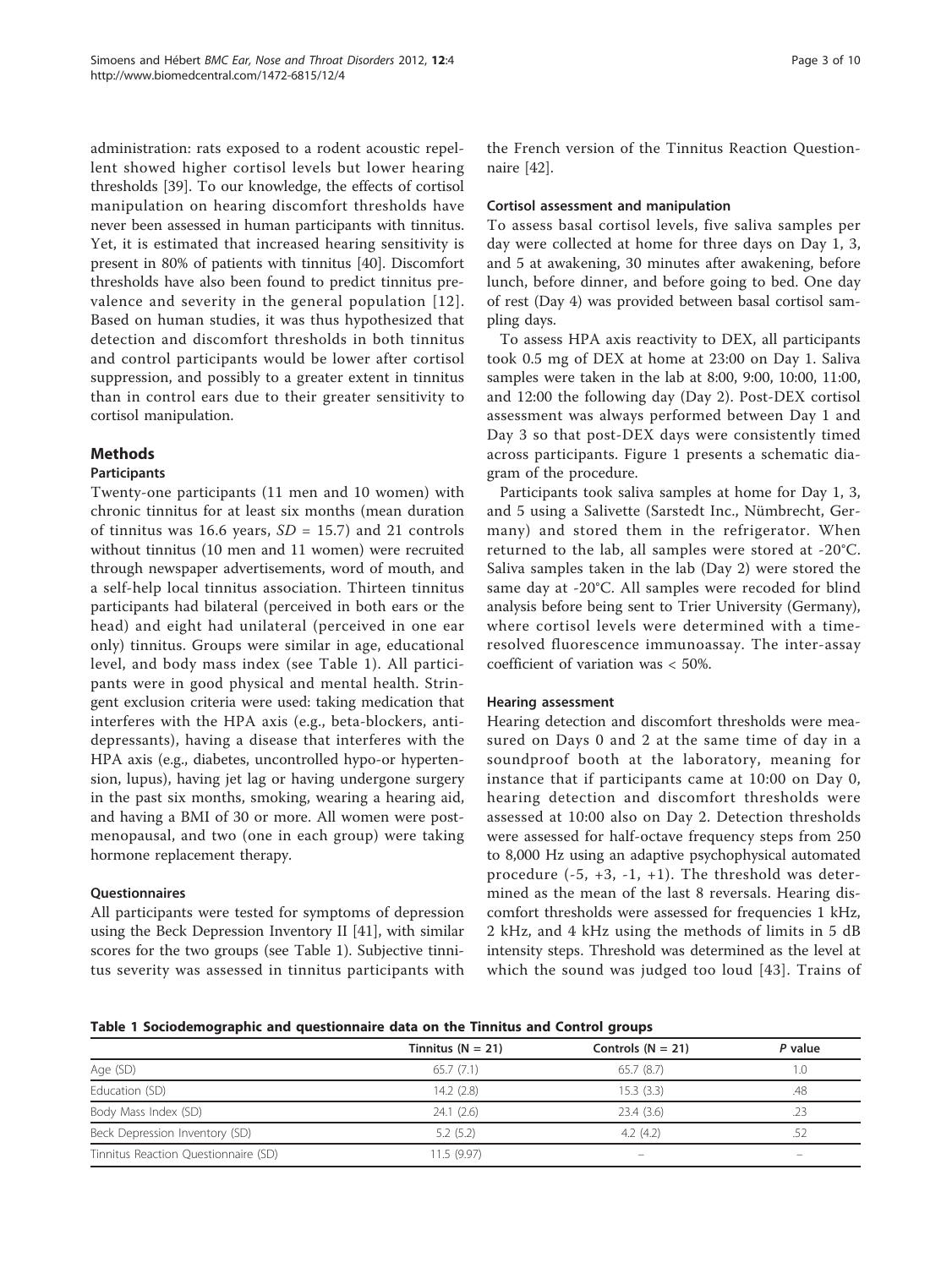administration: rats exposed to a rodent acoustic repellent showed higher cortisol levels but lower hearing thresholds [\[39\]](#page-8-0). To our knowledge, the effects of cortisol manipulation on hearing discomfort thresholds have never been assessed in human participants with tinnitus. Yet, it is estimated that increased hearing sensitivity is present in 80% of patients with tinnitus [\[40](#page-8-0)]. Discomfort thresholds have also been found to predict tinnitus prevalence and severity in the general population [[12\]](#page-8-0). Based on human studies, it was thus hypothesized that detection and discomfort thresholds in both tinnitus and control participants would be lower after cortisol suppression, and possibly to a greater extent in tinnitus than in control ears due to their greater sensitivity to cortisol manipulation.

### Methods

#### Participants

Twenty-one participants (11 men and 10 women) with chronic tinnitus for at least six months (mean duration of tinnitus was 16.6 years,  $SD = 15.7$ ) and 21 controls without tinnitus (10 men and 11 women) were recruited through newspaper advertisements, word of mouth, and a self-help local tinnitus association. Thirteen tinnitus participants had bilateral (perceived in both ears or the head) and eight had unilateral (perceived in one ear only) tinnitus. Groups were similar in age, educational level, and body mass index (see Table 1). All participants were in good physical and mental health. Stringent exclusion criteria were used: taking medication that interferes with the HPA axis (e.g., beta-blockers, antidepressants), having a disease that interferes with the HPA axis (e.g., diabetes, uncontrolled hypo-or hypertension, lupus), having jet lag or having undergone surgery in the past six months, smoking, wearing a hearing aid, and having a BMI of 30 or more. All women were postmenopausal, and two (one in each group) were taking hormone replacement therapy.

#### **Questionnaires**

All participants were tested for symptoms of depression using the Beck Depression Inventory II [[41\]](#page-8-0), with similar scores for the two groups (see Table 1). Subjective tinnitus severity was assessed in tinnitus participants with

the French version of the Tinnitus Reaction Questionnaire [\[42](#page-8-0)].

#### Cortisol assessment and manipulation

To assess basal cortisol levels, five saliva samples per day were collected at home for three days on Day 1, 3, and 5 at awakening, 30 minutes after awakening, before lunch, before dinner, and before going to bed. One day of rest (Day 4) was provided between basal cortisol sampling days.

To assess HPA axis reactivity to DEX, all participants took 0.5 mg of DEX at home at 23:00 on Day 1. Saliva samples were taken in the lab at 8:00, 9:00, 10:00, 11:00, and 12:00 the following day (Day 2). Post-DEX cortisol assessment was always performed between Day 1 and Day 3 so that post-DEX days were consistently timed across participants. Figure [1](#page-3-0) presents a schematic diagram of the procedure.

Participants took saliva samples at home for Day 1, 3, and 5 using a Salivette (Sarstedt Inc., Nümbrecht, Germany) and stored them in the refrigerator. When returned to the lab, all samples were stored at -20°C. Saliva samples taken in the lab (Day 2) were stored the same day at -20°C. All samples were recoded for blind analysis before being sent to Trier University (Germany), where cortisol levels were determined with a timeresolved fluorescence immunoassay. The inter-assay coefficient of variation was < 50%.

#### Hearing assessment

Hearing detection and discomfort thresholds were measured on Days 0 and 2 at the same time of day in a soundproof booth at the laboratory, meaning for instance that if participants came at 10:00 on Day 0, hearing detection and discomfort thresholds were assessed at 10:00 also on Day 2. Detection thresholds were assessed for half-octave frequency steps from 250 to 8,000 Hz using an adaptive psychophysical automated procedure  $(-5, +3, -1, +1)$ . The threshold was determined as the mean of the last 8 reversals. Hearing discomfort thresholds were assessed for frequencies 1 kHz, 2 kHz, and 4 kHz using the methods of limits in 5 dB intensity steps. Threshold was determined as the level at which the sound was judged too loud [\[43\]](#page-8-0). Trains of

Table 1 Sociodemographic and questionnaire data on the Tinnitus and Control groups

|                                      | Tinnitus ( $N = 21$ ) | Controls $(N = 21)$      | P value |
|--------------------------------------|-----------------------|--------------------------|---------|
| Age (SD)                             | 65.7(7.1)             | 65.7(8.7)                | I.O     |
| Education (SD)                       | 14.2(2.8)             | 15.3(3.3)                | .48     |
| Body Mass Index (SD)                 | 24.1(2.6)             | 23.4(3.6)                |         |
| Beck Depression Inventory (SD)       | 5.2(5.2)              | 4.2(4.2)                 |         |
| Tinnitus Reaction Questionnaire (SD) | 11.5(9.97)            | $\overline{\phantom{0}}$ |         |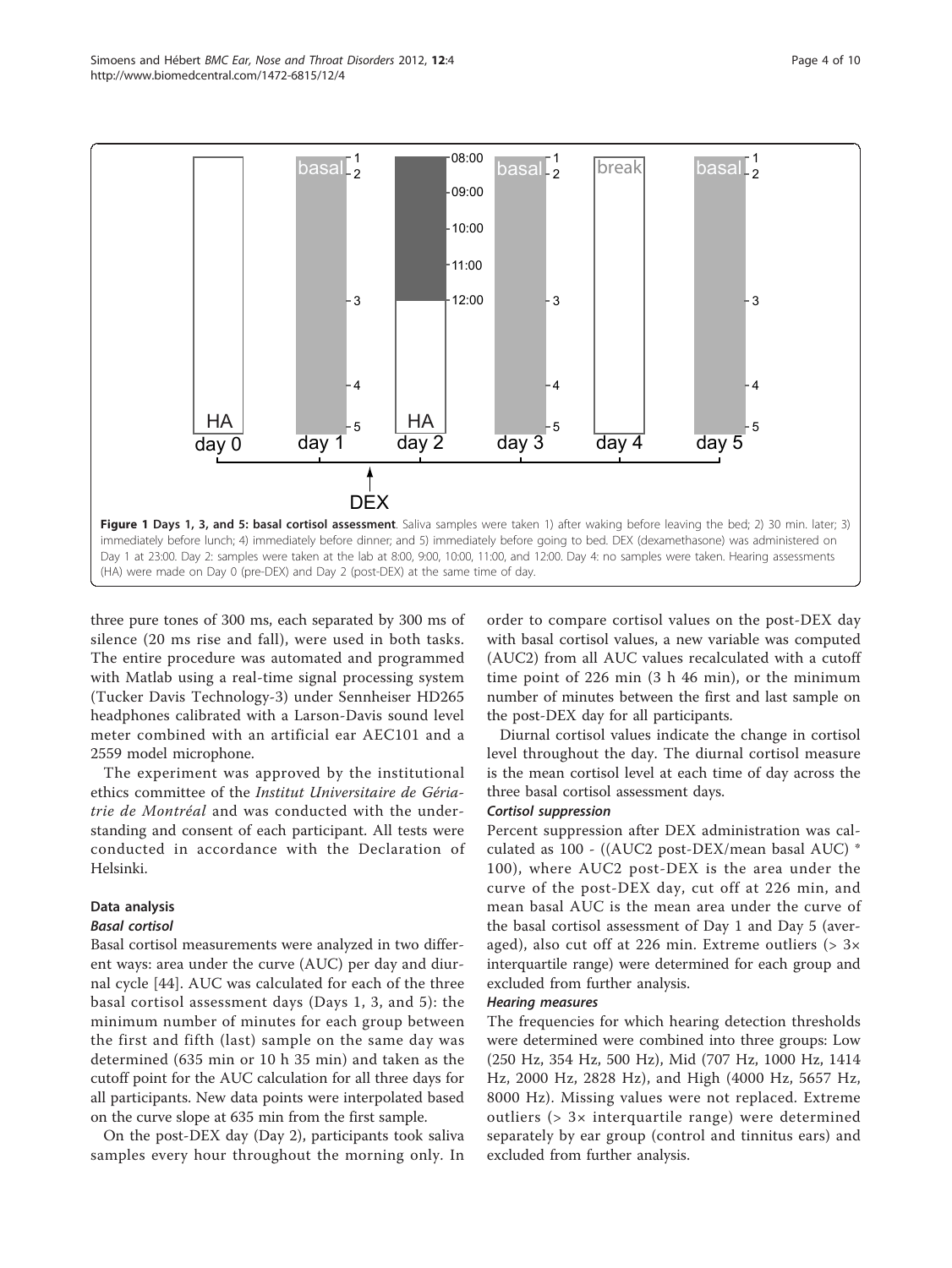<span id="page-3-0"></span>

three pure tones of 300 ms, each separated by 300 ms of silence (20 ms rise and fall), were used in both tasks. The entire procedure was automated and programmed with Matlab using a real-time signal processing system (Tucker Davis Technology-3) under Sennheiser HD265 headphones calibrated with a Larson-Davis sound level meter combined with an artificial ear AEC101 and a 2559 model microphone.

The experiment was approved by the institutional ethics committee of the Institut Universitaire de Gériatrie de Montréal and was conducted with the understanding and consent of each participant. All tests were conducted in accordance with the Declaration of Helsinki.

#### Data analysis

Basal cortisol Basal cortisol measurements were analyzed in two different ways: area under the curve (AUC) per day and diurnal cycle [\[44](#page-8-0)]. AUC was calculated for each of the three basal cortisol assessment days (Days 1, 3, and 5): the minimum number of minutes for each group between the first and fifth (last) sample on the same day was determined (635 min or 10 h 35 min) and taken as the cutoff point for the AUC calculation for all three days for all participants. New data points were interpolated based on the curve slope at 635 min from the first sample.

On the post-DEX day (Day 2), participants took saliva samples every hour throughout the morning only. In

order to compare cortisol values on the post-DEX day with basal cortisol values, a new variable was computed (AUC2) from all AUC values recalculated with a cutoff time point of 226 min (3 h 46 min), or the minimum number of minutes between the first and last sample on the post-DEX day for all participants.

Diurnal cortisol values indicate the change in cortisol level throughout the day. The diurnal cortisol measure is the mean cortisol level at each time of day across the three basal cortisol assessment days.

Percent suppression after DEX administration was calculated as 100 - ((AUC2 post-DEX/mean basal AUC) \* 100), where AUC2 post-DEX is the area under the curve of the post-DEX day, cut off at 226 min, and mean basal AUC is the mean area under the curve of the basal cortisol assessment of Day 1 and Day 5 (averaged), also cut off at 226 min. Extreme outliers  $(> 3 \times$ interquartile range) were determined for each group and excluded from further analysis.

The frequencies for which hearing detection thresholds were determined were combined into three groups: Low (250 Hz, 354 Hz, 500 Hz), Mid (707 Hz, 1000 Hz, 1414 Hz, 2000 Hz, 2828 Hz), and High (4000 Hz, 5657 Hz, 8000 Hz). Missing values were not replaced. Extreme outliers (> 3× interquartile range) were determined separately by ear group (control and tinnitus ears) and excluded from further analysis.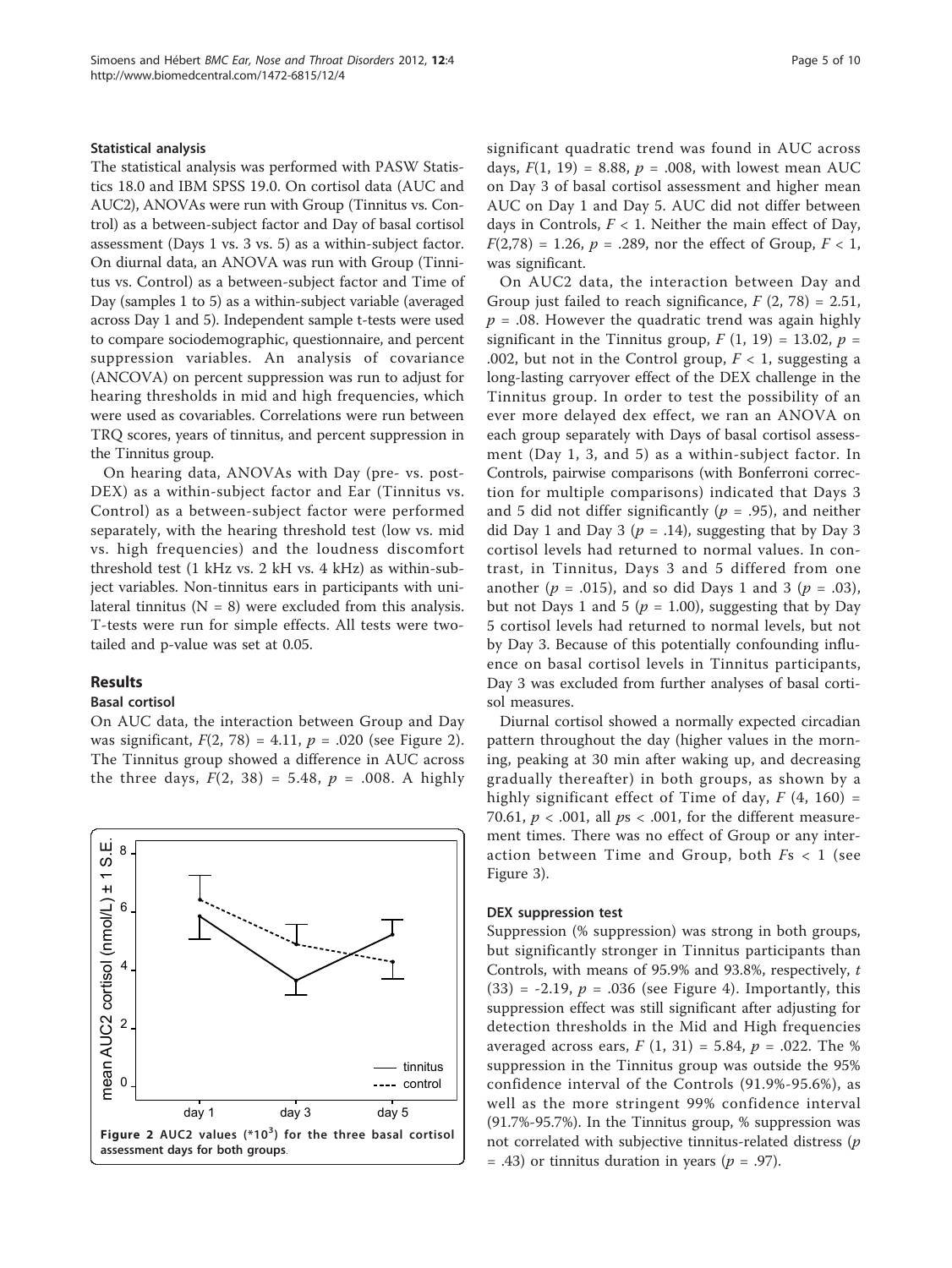#### Statistical analysis

The statistical analysis was performed with PASW Statistics 18.0 and IBM SPSS 19.0. On cortisol data (AUC and AUC2), ANOVAs were run with Group (Tinnitus vs. Control) as a between-subject factor and Day of basal cortisol assessment (Days 1 vs. 3 vs. 5) as a within-subject factor. On diurnal data, an ANOVA was run with Group (Tinnitus vs. Control) as a between-subject factor and Time of Day (samples 1 to 5) as a within-subject variable (averaged across Day 1 and 5). Independent sample t-tests were used to compare sociodemographic, questionnaire, and percent suppression variables. An analysis of covariance (ANCOVA) on percent suppression was run to adjust for hearing thresholds in mid and high frequencies, which were used as covariables. Correlations were run between TRQ scores, years of tinnitus, and percent suppression in the Tinnitus group.

On hearing data, ANOVAs with Day (pre- vs. post-DEX) as a within-subject factor and Ear (Tinnitus vs. Control) as a between-subject factor were performed separately, with the hearing threshold test (low vs. mid vs. high frequencies) and the loudness discomfort threshold test (1 kHz vs. 2 kH vs. 4 kHz) as within-subject variables. Non-tinnitus ears in participants with unilateral tinnitus ( $N = 8$ ) were excluded from this analysis. T-tests were run for simple effects. All tests were twotailed and p-value was set at 0.05.

#### Results

#### Basal cortisol

On AUC data, the interaction between Group and Day was significant,  $F(2, 78) = 4.11$ ,  $p = .020$  (see Figure 2). The Tinnitus group showed a difference in AUC across the three days,  $F(2, 38) = 5.48$ ,  $p = .008$ . A highly



significant quadratic trend was found in AUC across days,  $F(1, 19) = 8.88$ ,  $p = .008$ , with lowest mean AUC on Day 3 of basal cortisol assessment and higher mean AUC on Day 1 and Day 5. AUC did not differ between days in Controls,  $F < 1$ . Neither the main effect of Day,  $F(2,78) = 1.26$ ,  $p = .289$ , nor the effect of Group,  $F < 1$ , was significant.

On AUC2 data, the interaction between Day and Group just failed to reach significance,  $F(2, 78) = 2.51$ ,  $p = .08$ . However the quadratic trend was again highly significant in the Tinnitus group,  $F(1, 19) = 13.02$ ,  $p =$ .002, but not in the Control group,  $F < 1$ , suggesting a long-lasting carryover effect of the DEX challenge in the Tinnitus group. In order to test the possibility of an ever more delayed dex effect, we ran an ANOVA on each group separately with Days of basal cortisol assessment (Day 1, 3, and 5) as a within-subject factor. In Controls, pairwise comparisons (with Bonferroni correction for multiple comparisons) indicated that Days 3 and 5 did not differ significantly ( $p = .95$ ), and neither did Day 1 and Day 3 ( $p = .14$ ), suggesting that by Day 3 cortisol levels had returned to normal values. In contrast, in Tinnitus, Days 3 and 5 differed from one another ( $p = .015$ ), and so did Days 1 and 3 ( $p = .03$ ), but not Days 1 and 5 ( $p = 1.00$ ), suggesting that by Day 5 cortisol levels had returned to normal levels, but not by Day 3. Because of this potentially confounding influence on basal cortisol levels in Tinnitus participants, Day 3 was excluded from further analyses of basal cortisol measures.

Diurnal cortisol showed a normally expected circadian pattern throughout the day (higher values in the morning, peaking at 30 min after waking up, and decreasing gradually thereafter) in both groups, as shown by a highly significant effect of Time of day,  $F(4, 160) =$ 70.61,  $p < .001$ , all  $ps < .001$ , for the different measurement times. There was no effect of Group or any interaction between Time and Group, both  $Fs < 1$  (see Figure [3](#page-5-0)).

#### DEX suppression test

Suppression (% suppression) was strong in both groups, but significantly stronger in Tinnitus participants than Controls, with means of 95.9% and 93.8%, respectively, t  $(33) = -2.19$ ,  $p = .036$  (see Figure [4](#page-5-0)). Importantly, this suppression effect was still significant after adjusting for detection thresholds in the Mid and High frequencies averaged across ears,  $F(1, 31) = 5.84$ ,  $p = .022$ . The % suppression in the Tinnitus group was outside the 95% confidence interval of the Controls (91.9%-95.6%), as well as the more stringent 99% confidence interval (91.7%-95.7%). In the Tinnitus group, % suppression was not correlated with subjective tinnitus-related distress  $(p)$  $=$  .43) or tinnitus duration in years ( $p = .97$ ).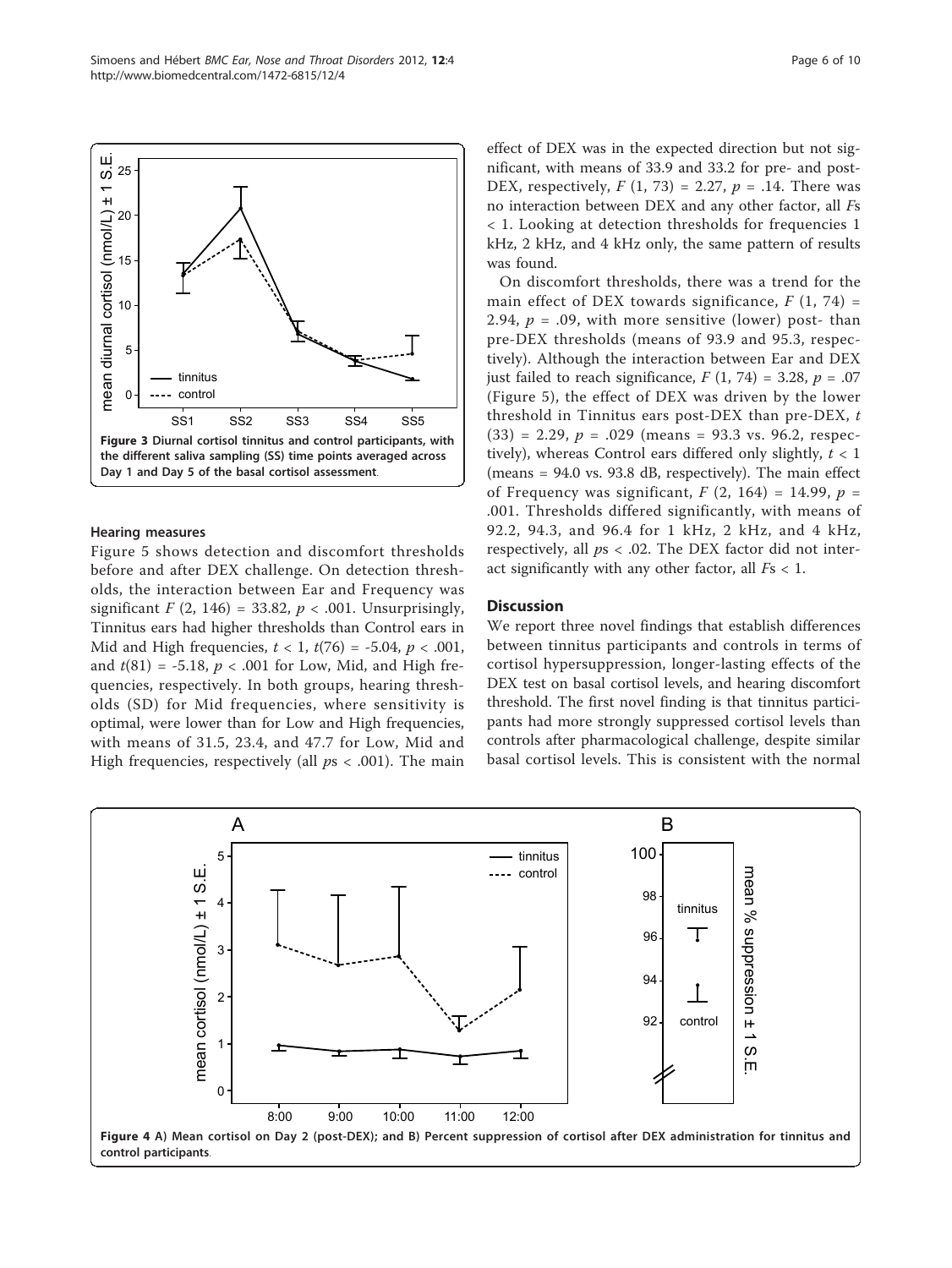Hearing measures Figure [5](#page-6-0) shows detection and discomfort thresholds effect of DEX was in the expected direction but not significant, with means of 33.9 and 33.2 for pre- and post-DEX, respectively,  $F(1, 73) = 2.27$ ,  $p = .14$ . There was no interaction between DEX and any other factor, all Fs < 1. Looking at detection thresholds for frequencies 1 kHz, 2 kHz, and 4 kHz only, the same pattern of results was found.

On discomfort thresholds, there was a trend for the main effect of DEX towards significance,  $F(1, 74) =$ 2.94,  $p = .09$ , with more sensitive (lower) post-than pre-DEX thresholds (means of 93.9 and 95.3, respectively). Although the interaction between Ear and DEX just failed to reach significance,  $F(1, 74) = 3.28$ ,  $p = .07$ (Figure [5](#page-6-0)), the effect of DEX was driven by the lower threshold in Tinnitus ears post-DEX than pre-DEX, t  $(33) = 2.29$ ,  $p = .029$  (means = 93.3 vs. 96.2, respectively), whereas Control ears differed only slightly,  $t < 1$ (means = 94.0 vs. 93.8 dB, respectively). The main effect of Frequency was significant,  $F(2, 164) = 14.99$ ,  $p =$ .001. Thresholds differed significantly, with means of 92.2, 94.3, and 96.4 for 1 kHz, 2 kHz, and 4 kHz, respectively, all  $ps < .02$ . The DEX factor did not interact significantly with any other factor, all  $Fs < 1$ .

#### **Discussion**

We report three novel findings that establish differences between tinnitus participants and controls in terms of cortisol hypersuppression, longer-lasting effects of the DEX test on basal cortisol levels, and hearing discomfort threshold. The first novel finding is that tinnitus participants had more strongly suppressed cortisol levels than controls after pharmacological challenge, despite similar basal cortisol levels. This is consistent with the normal

<span id="page-5-0"></span>





щ

before and after DEX challenge. On detection thresholds, the interaction between Ear and Frequency was significant  $F(2, 146) = 33.82, p < .001$ . Unsurprisingly, Tinnitus ears had higher thresholds than Control ears in Mid and High frequencies,  $t < 1$ ,  $t(76) = -5.04$ ,  $p < .001$ , and  $t(81) = -5.18$ ,  $p < .001$  for Low, Mid, and High frequencies, respectively. In both groups, hearing thresholds (SD) for Mid frequencies, where sensitivity is optimal, were lower than for Low and High frequencies, with means of 31.5, 23.4, and 47.7 for Low, Mid and High frequencies, respectively (all  $ps < .001$ ). The main

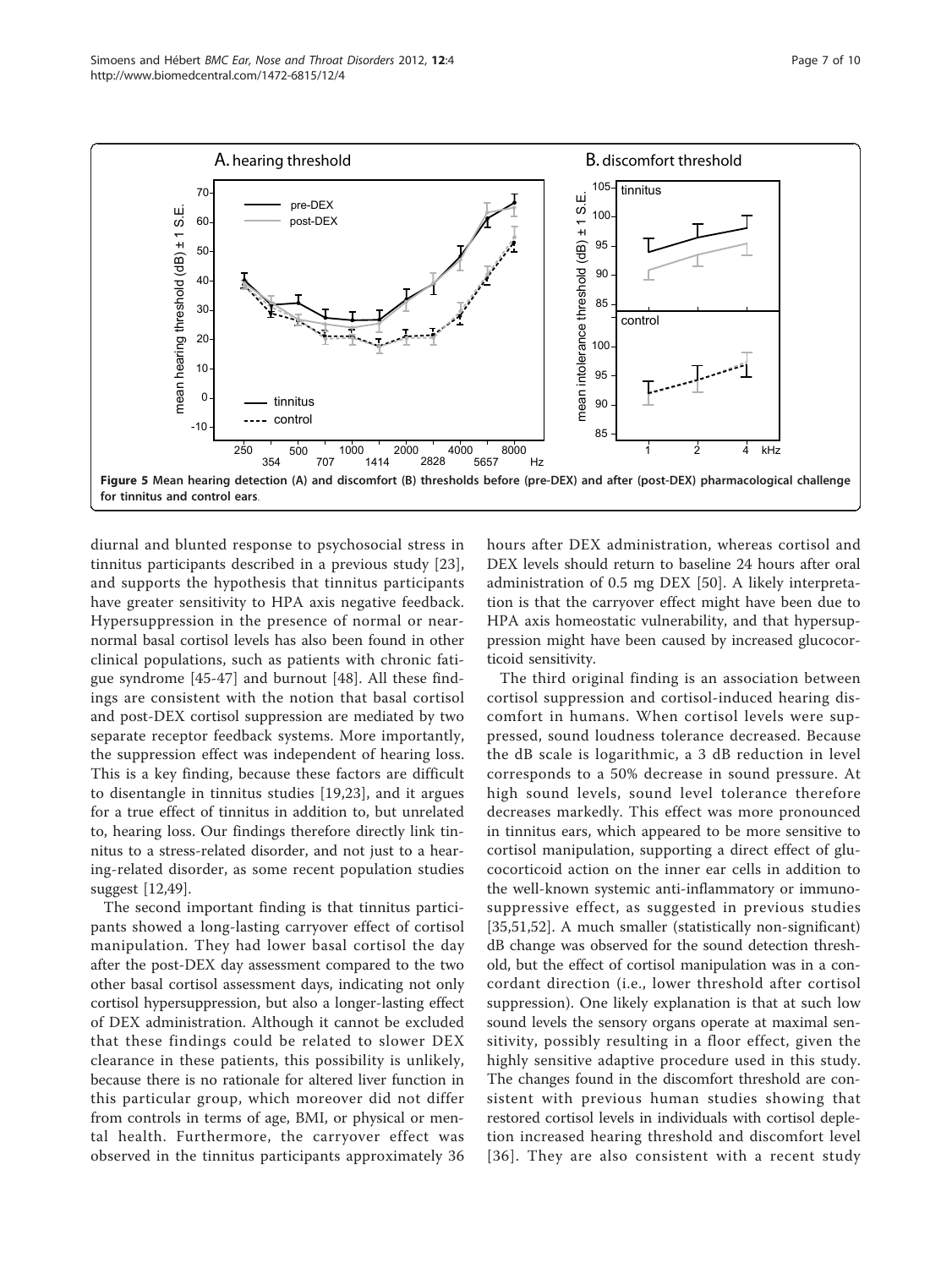<span id="page-6-0"></span>

diurnal and blunted response to psychosocial stress in tinnitus participants described in a previous study [[23](#page-8-0)], and supports the hypothesis that tinnitus participants have greater sensitivity to HPA axis negative feedback. Hypersuppression in the presence of normal or nearnormal basal cortisol levels has also been found in other clinical populations, such as patients with chronic fatigue syndrome [\[45](#page-9-0)-[47\]](#page-9-0) and burnout [\[48](#page-9-0)]. All these findings are consistent with the notion that basal cortisol and post-DEX cortisol suppression are mediated by two separate receptor feedback systems. More importantly, the suppression effect was independent of hearing loss. This is a key finding, because these factors are difficult to disentangle in tinnitus studies [[19,23](#page-8-0)], and it argues for a true effect of tinnitus in addition to, but unrelated to, hearing loss. Our findings therefore directly link tinnitus to a stress-related disorder, and not just to a hearing-related disorder, as some recent population studies suggest [[12,](#page-8-0)[49](#page-9-0)].

The second important finding is that tinnitus participants showed a long-lasting carryover effect of cortisol manipulation. They had lower basal cortisol the day after the post-DEX day assessment compared to the two other basal cortisol assessment days, indicating not only cortisol hypersuppression, but also a longer-lasting effect of DEX administration. Although it cannot be excluded that these findings could be related to slower DEX clearance in these patients, this possibility is unlikely, because there is no rationale for altered liver function in this particular group, which moreover did not differ from controls in terms of age, BMI, or physical or mental health. Furthermore, the carryover effect was observed in the tinnitus participants approximately 36 hours after DEX administration, whereas cortisol and DEX levels should return to baseline 24 hours after oral administration of 0.5 mg DEX [\[50](#page-9-0)]. A likely interpretation is that the carryover effect might have been due to HPA axis homeostatic vulnerability, and that hypersuppression might have been caused by increased glucocorticoid sensitivity.

The third original finding is an association between cortisol suppression and cortisol-induced hearing discomfort in humans. When cortisol levels were suppressed, sound loudness tolerance decreased. Because the dB scale is logarithmic, a 3 dB reduction in level corresponds to a 50% decrease in sound pressure. At high sound levels, sound level tolerance therefore decreases markedly. This effect was more pronounced in tinnitus ears, which appeared to be more sensitive to cortisol manipulation, supporting a direct effect of glucocorticoid action on the inner ear cells in addition to the well-known systemic anti-inflammatory or immunosuppressive effect, as suggested in previous studies [[35,](#page-8-0)[51,52](#page-9-0)]. A much smaller (statistically non-significant) dB change was observed for the sound detection threshold, but the effect of cortisol manipulation was in a concordant direction (i.e., lower threshold after cortisol suppression). One likely explanation is that at such low sound levels the sensory organs operate at maximal sensitivity, possibly resulting in a floor effect, given the highly sensitive adaptive procedure used in this study. The changes found in the discomfort threshold are consistent with previous human studies showing that restored cortisol levels in individuals with cortisol depletion increased hearing threshold and discomfort level [[36](#page-8-0)]. They are also consistent with a recent study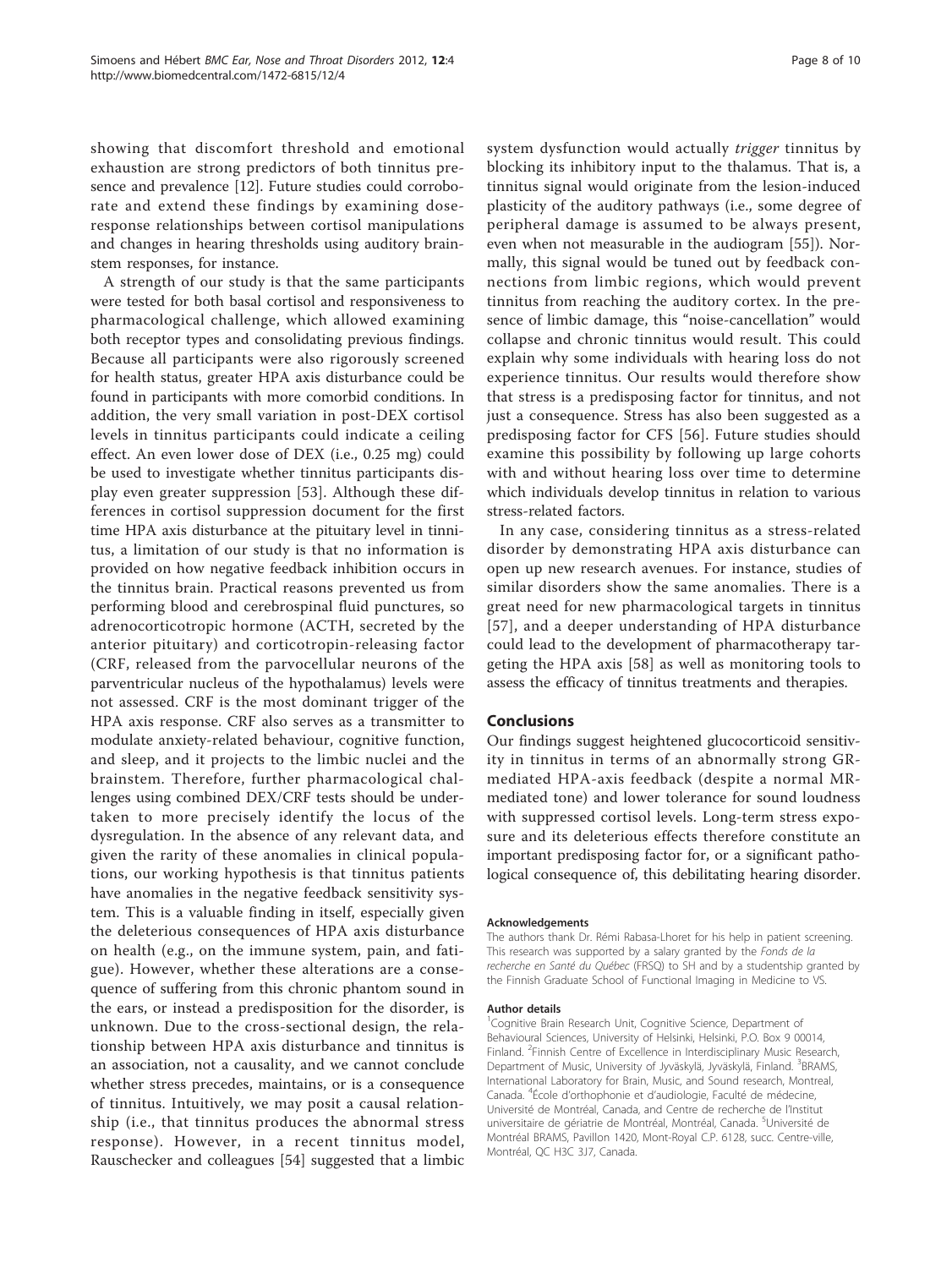showing that discomfort threshold and emotional exhaustion are strong predictors of both tinnitus presence and prevalence [[12\]](#page-8-0). Future studies could corroborate and extend these findings by examining doseresponse relationships between cortisol manipulations and changes in hearing thresholds using auditory brainstem responses, for instance.

A strength of our study is that the same participants were tested for both basal cortisol and responsiveness to pharmacological challenge, which allowed examining both receptor types and consolidating previous findings. Because all participants were also rigorously screened for health status, greater HPA axis disturbance could be found in participants with more comorbid conditions. In addition, the very small variation in post-DEX cortisol levels in tinnitus participants could indicate a ceiling effect. An even lower dose of DEX (i.e., 0.25 mg) could be used to investigate whether tinnitus participants display even greater suppression [[53\]](#page-9-0). Although these differences in cortisol suppression document for the first time HPA axis disturbance at the pituitary level in tinnitus, a limitation of our study is that no information is provided on how negative feedback inhibition occurs in the tinnitus brain. Practical reasons prevented us from performing blood and cerebrospinal fluid punctures, so adrenocorticotropic hormone (ACTH, secreted by the anterior pituitary) and corticotropin-releasing factor (CRF, released from the parvocellular neurons of the parventricular nucleus of the hypothalamus) levels were not assessed. CRF is the most dominant trigger of the HPA axis response. CRF also serves as a transmitter to modulate anxiety-related behaviour, cognitive function, and sleep, and it projects to the limbic nuclei and the brainstem. Therefore, further pharmacological challenges using combined DEX/CRF tests should be undertaken to more precisely identify the locus of the dysregulation. In the absence of any relevant data, and given the rarity of these anomalies in clinical populations, our working hypothesis is that tinnitus patients have anomalies in the negative feedback sensitivity system. This is a valuable finding in itself, especially given the deleterious consequences of HPA axis disturbance on health (e.g., on the immune system, pain, and fatigue). However, whether these alterations are a consequence of suffering from this chronic phantom sound in the ears, or instead a predisposition for the disorder, is unknown. Due to the cross-sectional design, the relationship between HPA axis disturbance and tinnitus is an association, not a causality, and we cannot conclude whether stress precedes, maintains, or is a consequence of tinnitus. Intuitively, we may posit a causal relationship (i.e., that tinnitus produces the abnormal stress response). However, in a recent tinnitus model, Rauschecker and colleagues [\[54](#page-9-0)] suggested that a limbic system dysfunction would actually trigger tinnitus by blocking its inhibitory input to the thalamus. That is, a tinnitus signal would originate from the lesion-induced plasticity of the auditory pathways (i.e., some degree of peripheral damage is assumed to be always present, even when not measurable in the audiogram [[55\]](#page-9-0)). Normally, this signal would be tuned out by feedback connections from limbic regions, which would prevent tinnitus from reaching the auditory cortex. In the presence of limbic damage, this "noise-cancellation" would collapse and chronic tinnitus would result. This could explain why some individuals with hearing loss do not experience tinnitus. Our results would therefore show that stress is a predisposing factor for tinnitus, and not just a consequence. Stress has also been suggested as a predisposing factor for CFS [[56](#page-9-0)]. Future studies should examine this possibility by following up large cohorts with and without hearing loss over time to determine which individuals develop tinnitus in relation to various stress-related factors.

In any case, considering tinnitus as a stress-related disorder by demonstrating HPA axis disturbance can open up new research avenues. For instance, studies of similar disorders show the same anomalies. There is a great need for new pharmacological targets in tinnitus [[57](#page-9-0)], and a deeper understanding of HPA disturbance could lead to the development of pharmacotherapy targeting the HPA axis [\[58](#page-9-0)] as well as monitoring tools to assess the efficacy of tinnitus treatments and therapies.

#### Conclusions

Our findings suggest heightened glucocorticoid sensitivity in tinnitus in terms of an abnormally strong GRmediated HPA-axis feedback (despite a normal MRmediated tone) and lower tolerance for sound loudness with suppressed cortisol levels. Long-term stress exposure and its deleterious effects therefore constitute an important predisposing factor for, or a significant pathological consequence of, this debilitating hearing disorder.

#### Acknowledgements

The authors thank Dr. Rémi Rabasa-Lhoret for his help in patient screening. This research was supported by a salary granted by the Fonds de la recherche en Santé du Québec (FRSQ) to SH and by a studentship granted by the Finnish Graduate School of Functional Imaging in Medicine to VS.

#### Author details

<sup>1</sup> Cognitive Brain Research Unit, Cognitive Science, Department of Behavioural Sciences, University of Helsinki, Helsinki, P.O. Box 9 00014, Finland. <sup>2</sup> Finnish Centre of Excellence in Interdisciplinary Music Research Department of Music, University of Jyväskylä, Jyväskylä, Finland. <sup>3</sup>BRAMS International Laboratory for Brain, Music, and Sound research, Montreal, Canada. <sup>4</sup> École d'orthophonie et d'audiologie, Faculté de médecine, Université de Montréal, Canada, and Centre de recherche de l'Institut universitaire de gériatrie de Montréal, Montréal, Canada. <sup>5</sup>Université de Montréal BRAMS, Pavillon 1420, Mont-Royal C.P. 6128, succ. Centre-ville, Montréal, QC H3C 3J7, Canada.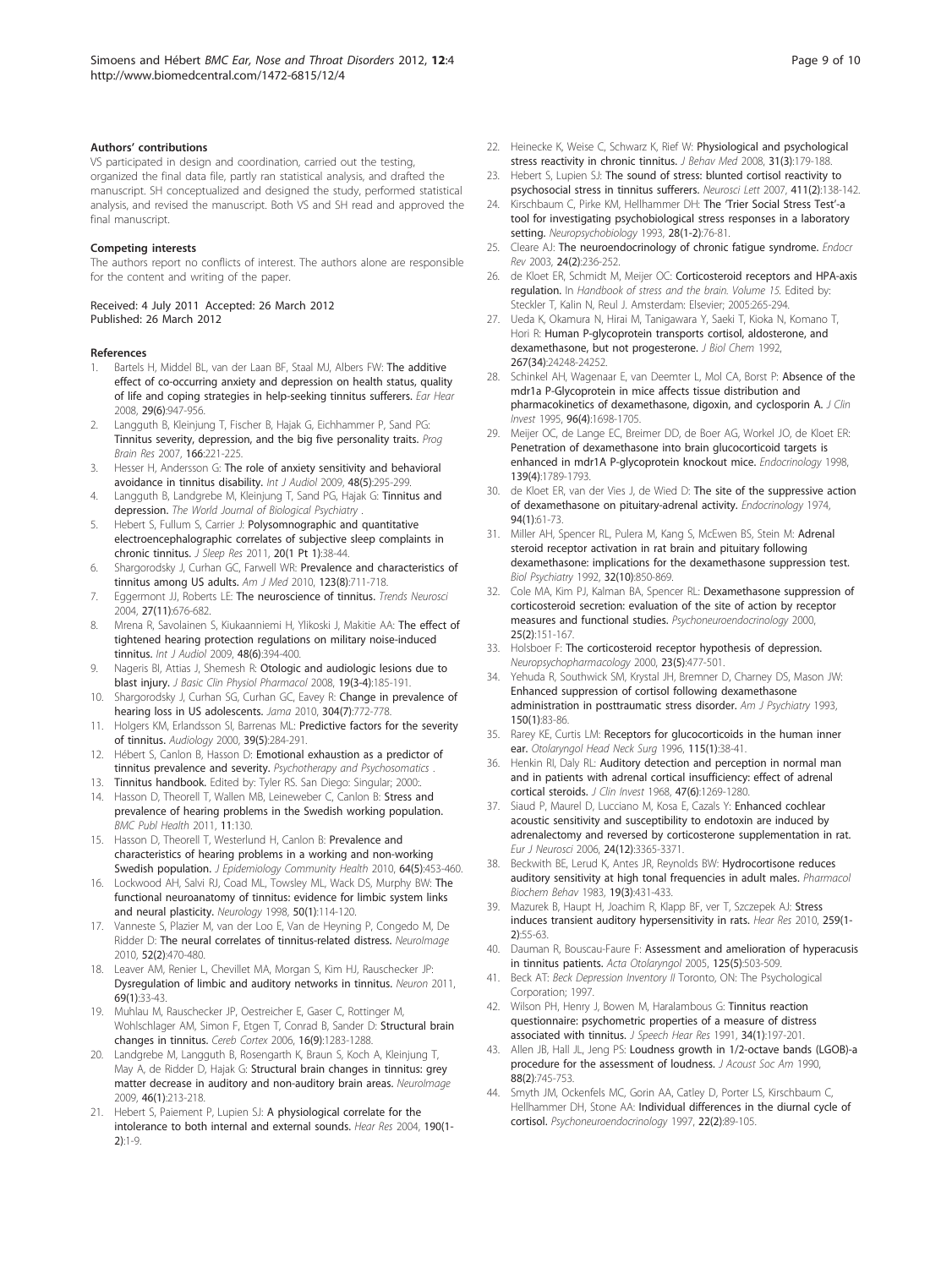<span id="page-8-0"></span>VS participated in design and coordination, carried out the testing, organized the final data file, partly ran statistical analysis, and drafted the manuscript. SH conceptualized and designed the study, performed statistical analysis, and revised the manuscript. Both VS and SH read and approved the final manuscript.

#### Competing interests

The authors report no conflicts of interest. The authors alone are responsible for the content and writing of the paper.

#### Received: 4 July 2011 Accepted: 26 March 2012 Published: 26 March 2012

#### References

- Bartels H, Middel BL, van der Laan BF, Staal MJ, Albers FW: [The additive](http://www.ncbi.nlm.nih.gov/pubmed/18941410?dopt=Abstract) [effect of co-occurring anxiety and depression on health status, quality](http://www.ncbi.nlm.nih.gov/pubmed/18941410?dopt=Abstract) [of life and coping strategies in help-seeking tinnitus sufferers.](http://www.ncbi.nlm.nih.gov/pubmed/18941410?dopt=Abstract) Ear Hear 2008, 29(6):947-956.
- 2. Langguth B, Kleinjung T, Fischer B, Hajak G, Eichhammer P, Sand PG: [Tinnitus severity, depression, and the big five personality traits.](http://www.ncbi.nlm.nih.gov/pubmed/17956786?dopt=Abstract) Prog Brain Res 2007, 166:221-225.
- 3. Hesser H, Andersson G: [The role of anxiety sensitivity and behavioral](http://www.ncbi.nlm.nih.gov/pubmed/19842804?dopt=Abstract) [avoidance in tinnitus disability.](http://www.ncbi.nlm.nih.gov/pubmed/19842804?dopt=Abstract) Int J Audiol 2009, 48(5):295-299.
- 4. Langguth B, Landgrebe M, Kleinjung T, Sand PG, Hajak G: Tinnitus and depression. The World Journal of Biological Psychiatry .
- 5. Hebert S, Fullum S, Carrier J: [Polysomnographic and quantitative](http://www.ncbi.nlm.nih.gov/pubmed/20561177?dopt=Abstract) [electroencephalographic correlates of subjective sleep complaints in](http://www.ncbi.nlm.nih.gov/pubmed/20561177?dopt=Abstract) [chronic tinnitus.](http://www.ncbi.nlm.nih.gov/pubmed/20561177?dopt=Abstract) J Sleep Res 2011, 20(1 Pt 1):38-44.
- 6. Shargorodsky J, Curhan GC, Farwell WR: [Prevalence and characteristics of](http://www.ncbi.nlm.nih.gov/pubmed/20670725?dopt=Abstract) [tinnitus among US adults.](http://www.ncbi.nlm.nih.gov/pubmed/20670725?dopt=Abstract) Am J Med 2010, 123(8):711-718.
- 7. Eggermont JJ, Roberts LE: [The neuroscience of tinnitus.](http://www.ncbi.nlm.nih.gov/pubmed/15474168?dopt=Abstract) Trends Neurosci 2004, 27(11):676-682.
- 8. Mrena R, Savolainen S, Kiukaanniemi H, Ylikoski J, Makitie AA: [The effect of](http://www.ncbi.nlm.nih.gov/pubmed/19925346?dopt=Abstract) [tightened hearing protection regulations on military noise-induced](http://www.ncbi.nlm.nih.gov/pubmed/19925346?dopt=Abstract) [tinnitus.](http://www.ncbi.nlm.nih.gov/pubmed/19925346?dopt=Abstract) Int J Audiol 2009, 48(6):394-400.
- 9. Nageris BI, Attias J, Shemesh R: [Otologic and audiologic lesions due to](http://www.ncbi.nlm.nih.gov/pubmed/19025030?dopt=Abstract) [blast injury.](http://www.ncbi.nlm.nih.gov/pubmed/19025030?dopt=Abstract) J Basic Clin Physiol Pharmacol 2008, 19(3-4):185-191.
- 10. Shargorodsky J, Curhan SG, Curhan GC, Eavey R: [Change in prevalence of](http://www.ncbi.nlm.nih.gov/pubmed/20716740?dopt=Abstract) [hearing loss in US adolescents.](http://www.ncbi.nlm.nih.gov/pubmed/20716740?dopt=Abstract) Jama 2010, 304(7):772-778.
- 11. Holgers KM, Erlandsson SI, Barrenas ML: [Predictive factors for the severity](http://www.ncbi.nlm.nih.gov/pubmed/11093613?dopt=Abstract) [of tinnitus.](http://www.ncbi.nlm.nih.gov/pubmed/11093613?dopt=Abstract) Audiology 2000, 39(5):284-291.
- 12. Hébert S, Canlon B, Hasson D: Emotional exhaustion as a predictor of tinnitus prevalence and severity. Psychotherapy and Psychosomatics.
- 13. Tinnitus handbook. Edited by: Tyler RS. San Diego: Singular; 2000:.
- 14. Hasson D, Theorell T, Wallen MB, Leineweber C, Canlon B: Stress and prevalence of hearing problems in the Swedish working population. BMC Publ Health 2011, 11:130.
- 15. Hasson D, Theorell T, Westerlund H, Canlon B: Prevalence and characteristics of hearing problems in a working and non-working Swedish population. J Epidemiology Community Health 2010, 64(5):453-460.
- 16. Lockwood AH, Salvi RJ, Coad ML, Towsley ML, Wack DS, Murphy BW: [The](http://www.ncbi.nlm.nih.gov/pubmed/9443467?dopt=Abstract) [functional neuroanatomy of tinnitus: evidence for limbic system links](http://www.ncbi.nlm.nih.gov/pubmed/9443467?dopt=Abstract) [and neural plasticity.](http://www.ncbi.nlm.nih.gov/pubmed/9443467?dopt=Abstract) Neurology 1998, 50(1):114-120.
- 17. Vanneste S, Plazier M, van der Loo E, Van de Heyning P, Congedo M, De Ridder D: [The neural correlates of tinnitus-related distress.](http://www.ncbi.nlm.nih.gov/pubmed/20417285?dopt=Abstract) NeuroImage 2010, 52(2):470-480.
- 18. Leaver AM, Renier L, Chevillet MA, Morgan S, Kim HJ, Rauschecker JP: [Dysregulation of limbic and auditory networks in tinnitus.](http://www.ncbi.nlm.nih.gov/pubmed/21220097?dopt=Abstract) Neuron 2011, 69(1):33-43.
- 19. Muhlau M, Rauschecker JP, Oestreicher E, Gaser C, Rottinger M, Wohlschlager AM, Simon F, Etgen T, Conrad B, Sander D: [Structural brain](http://www.ncbi.nlm.nih.gov/pubmed/16280464?dopt=Abstract) [changes in tinnitus.](http://www.ncbi.nlm.nih.gov/pubmed/16280464?dopt=Abstract) Cereb Cortex 2006, 16(9):1283-1288.
- 20. Landgrebe M, Langguth B, Rosengarth K, Braun S, Koch A, Kleinjung T, May A, de Ridder D, Hajak G: [Structural brain changes in tinnitus: grey](http://www.ncbi.nlm.nih.gov/pubmed/19413945?dopt=Abstract) [matter decrease in auditory and non-auditory brain areas.](http://www.ncbi.nlm.nih.gov/pubmed/19413945?dopt=Abstract) NeuroImage 2009, 46(1):213-218.
- 21. Hebert S, Paiement P, Lupien SJ: [A physiological correlate for the](http://www.ncbi.nlm.nih.gov/pubmed/15051125?dopt=Abstract) [intolerance to both internal and external sounds.](http://www.ncbi.nlm.nih.gov/pubmed/15051125?dopt=Abstract) Hear Res 2004, 190(1- 2):1-9.
- 22. Heinecke K, Weise C, Schwarz K, Rief W: [Physiological and psychological](http://www.ncbi.nlm.nih.gov/pubmed/18193350?dopt=Abstract) [stress reactivity in chronic tinnitus.](http://www.ncbi.nlm.nih.gov/pubmed/18193350?dopt=Abstract) J Behav Med 2008, 31(3):179-188.
- 23. Hebert S, Lupien SJ: [The sound of stress: blunted cortisol reactivity to](http://www.ncbi.nlm.nih.gov/pubmed/17084027?dopt=Abstract) [psychosocial stress in tinnitus sufferers.](http://www.ncbi.nlm.nih.gov/pubmed/17084027?dopt=Abstract) Neurosci Lett 2007, 411(2):138-142.
- 24. Kirschbaum C, Pirke KM, Hellhammer DH: The '[Trier Social Stress Test](http://www.ncbi.nlm.nih.gov/pubmed/8255414?dopt=Abstract)'-a [tool for investigating psychobiological stress responses in a laboratory](http://www.ncbi.nlm.nih.gov/pubmed/8255414?dopt=Abstract) [setting.](http://www.ncbi.nlm.nih.gov/pubmed/8255414?dopt=Abstract) Neuropsychobiology 1993, 28(1-2):76-81.
- 25. Cleare AJ: [The neuroendocrinology of chronic fatigue syndrome.](http://www.ncbi.nlm.nih.gov/pubmed/12700181?dopt=Abstract) Endocr Rev 2003, 24(2):236-252.
- 26. de Kloet ER, Schmidt M, Meijer OC: Corticosteroid receptors and HPA-axis regulation. In Handbook of stress and the brain. Volume 15. Edited by: Steckler T, Kalin N, Reul J. Amsterdam: Elsevier; 2005:265-294.
- 27. Ueda K, Okamura N, Hirai M, Tanigawara Y, Saeki T, Kioka N, Komano T, Hori R: [Human P-glycoprotein transports cortisol, aldosterone, and](http://www.ncbi.nlm.nih.gov/pubmed/1360010?dopt=Abstract) [dexamethasone, but not progesterone.](http://www.ncbi.nlm.nih.gov/pubmed/1360010?dopt=Abstract) J Biol Chem 1992, 267(34):24248-24252.
- 28. Schinkel AH, Wagenaar E, van Deemter L, Mol CA, Borst P: [Absence of the](http://www.ncbi.nlm.nih.gov/pubmed/7560060?dopt=Abstract) [mdr1a P-Glycoprotein in mice affects tissue distribution and](http://www.ncbi.nlm.nih.gov/pubmed/7560060?dopt=Abstract) [pharmacokinetics of dexamethasone, digoxin, and cyclosporin A.](http://www.ncbi.nlm.nih.gov/pubmed/7560060?dopt=Abstract) J Clin Invest 1995, 96(4):1698-1705.
- 29. Meijer OC, de Lange EC, Breimer DD, de Boer AG, Workel JO, de Kloet ER: [Penetration of dexamethasone into brain glucocorticoid targets is](http://www.ncbi.nlm.nih.gov/pubmed/9528963?dopt=Abstract) [enhanced in mdr1A P-glycoprotein knockout mice.](http://www.ncbi.nlm.nih.gov/pubmed/9528963?dopt=Abstract) Endocrinology 1998, 139(4):1789-1793.
- 30. de Kloet ER, van der Vies J, de Wied D: [The site of the suppressive action](http://www.ncbi.nlm.nih.gov/pubmed/4808893?dopt=Abstract) [of dexamethasone on pituitary-adrenal activity.](http://www.ncbi.nlm.nih.gov/pubmed/4808893?dopt=Abstract) Endocrinology 1974, 94(1):61-73.
- 31. Miller AH, Spencer RL, Pulera M, Kang S, McEwen BS, Stein M: [Adrenal](http://www.ncbi.nlm.nih.gov/pubmed/1334712?dopt=Abstract) [steroid receptor activation in rat brain and pituitary following](http://www.ncbi.nlm.nih.gov/pubmed/1334712?dopt=Abstract) [dexamethasone: implications for the dexamethasone suppression test.](http://www.ncbi.nlm.nih.gov/pubmed/1334712?dopt=Abstract) Biol Psychiatry 1992, 32(10):850-869.
- 32. Cole MA, Kim PJ, Kalman BA, Spencer RL: [Dexamethasone suppression of](http://www.ncbi.nlm.nih.gov/pubmed/10674279?dopt=Abstract) [corticosteroid secretion: evaluation of the site of action by receptor](http://www.ncbi.nlm.nih.gov/pubmed/10674279?dopt=Abstract) [measures and functional studies.](http://www.ncbi.nlm.nih.gov/pubmed/10674279?dopt=Abstract) Psychoneuroendocrinology 2000, 25(2):151-167.
- 33. Holsboer F: [The corticosteroid receptor hypothesis of depression.](http://www.ncbi.nlm.nih.gov/pubmed/11027914?dopt=Abstract) Neuropsychopharmacology 2000, 23(5):477-501.
- 34. Yehuda R, Southwick SM, Krystal JH, Bremner D, Charney DS, Mason JW: [Enhanced suppression of cortisol following dexamethasone](http://www.ncbi.nlm.nih.gov/pubmed/8417586?dopt=Abstract) [administration in posttraumatic stress disorder.](http://www.ncbi.nlm.nih.gov/pubmed/8417586?dopt=Abstract) Am J Psychiatry 1993, 150(1):83-86.
- 35. Rarey KE, Curtis LM: [Receptors for glucocorticoids in the human inner](http://www.ncbi.nlm.nih.gov/pubmed/8758627?dopt=Abstract) [ear.](http://www.ncbi.nlm.nih.gov/pubmed/8758627?dopt=Abstract) Otolaryngol Head Neck Surg 1996, 115(1):38-41.
- 36. Henkin RI, Daly RL: [Auditory detection and perception in normal man](http://www.ncbi.nlm.nih.gov/pubmed/4298249?dopt=Abstract) [and in patients with adrenal cortical insufficiency: effect of adrenal](http://www.ncbi.nlm.nih.gov/pubmed/4298249?dopt=Abstract) [cortical steroids.](http://www.ncbi.nlm.nih.gov/pubmed/4298249?dopt=Abstract) J Clin Invest 1968, 47(6):1269-1280.
- 37. Siaud P, Maurel D, Lucciano M, Kosa E, Cazals Y: [Enhanced cochlear](http://www.ncbi.nlm.nih.gov/pubmed/17229085?dopt=Abstract) [acoustic sensitivity and susceptibility to endotoxin are induced by](http://www.ncbi.nlm.nih.gov/pubmed/17229085?dopt=Abstract) [adrenalectomy and reversed by corticosterone supplementation in rat.](http://www.ncbi.nlm.nih.gov/pubmed/17229085?dopt=Abstract) Eur J Neurosci 2006, 24(12):3365-3371.
- 38. Beckwith BE, Lerud K, Antes JR, Reynolds BW: [Hydrocortisone reduces](http://www.ncbi.nlm.nih.gov/pubmed/6634894?dopt=Abstract) [auditory sensitivity at high tonal frequencies in adult males.](http://www.ncbi.nlm.nih.gov/pubmed/6634894?dopt=Abstract) Pharmacol Biochem Behav 1983, 19(3):431-433.
- 39. Mazurek B, Haupt H, Joachim R, Klapp BF, ver T, Szczepek AJ: [Stress](http://www.ncbi.nlm.nih.gov/pubmed/19840840?dopt=Abstract) [induces transient auditory hypersensitivity in rats.](http://www.ncbi.nlm.nih.gov/pubmed/19840840?dopt=Abstract) Hear Res 2010, 259(1-2):55-63.
- 40. Dauman R, Bouscau-Faure F: [Assessment and amelioration of hyperacusis](http://www.ncbi.nlm.nih.gov/pubmed/16092541?dopt=Abstract) [in tinnitus patients.](http://www.ncbi.nlm.nih.gov/pubmed/16092541?dopt=Abstract) Acta Otolaryngol 2005, 125(5):503-509
- 41. Beck AT: Beck Depression Inventory II Toronto, ON: The Psychological Corporation; 1997.
- 42. Wilson PH, Henry J, Bowen M, Haralambous G: [Tinnitus reaction](http://www.ncbi.nlm.nih.gov/pubmed/2008074?dopt=Abstract) [questionnaire: psychometric properties of a measure of distress](http://www.ncbi.nlm.nih.gov/pubmed/2008074?dopt=Abstract) [associated with tinnitus.](http://www.ncbi.nlm.nih.gov/pubmed/2008074?dopt=Abstract) J Speech Hear Res 1991, 34(1):197-201.
- 43. Allen JB, Hall JL, Jeng PS: [Loudness growth in 1/2-octave bands \(LGOB\)-a](http://www.ncbi.nlm.nih.gov/pubmed/2212299?dopt=Abstract) [procedure for the assessment of loudness.](http://www.ncbi.nlm.nih.gov/pubmed/2212299?dopt=Abstract) J Acoust Soc Am 1990, 88(2):745-753.
- 44. Smyth JM, Ockenfels MC, Gorin AA, Catley D, Porter LS, Kirschbaum C, Hellhammer DH, Stone AA: [Individual differences in the diurnal cycle of](http://www.ncbi.nlm.nih.gov/pubmed/9149331?dopt=Abstract) [cortisol.](http://www.ncbi.nlm.nih.gov/pubmed/9149331?dopt=Abstract) Psychoneuroendocrinology 1997, 22(2):89-105.